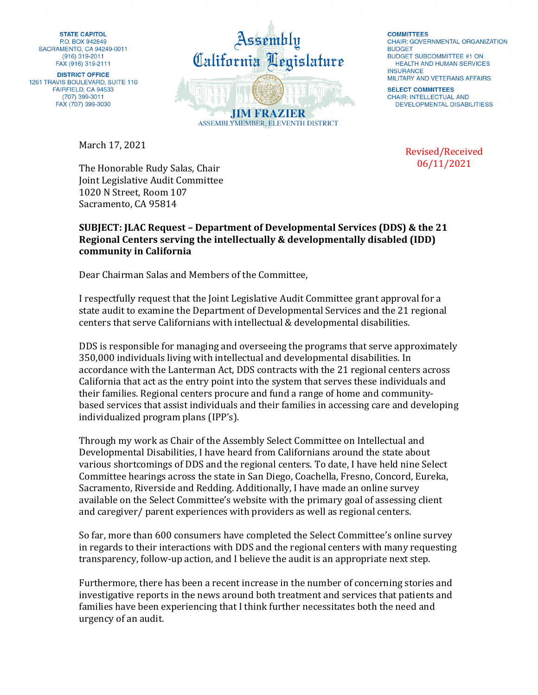**STATE CAPITOL** P.O. BOX 942849 SACRAMENTO, CA 94249-0011 (916) 319-2011 FAX (916) 319-2111

**DISTRICT OFFICE** 1261 TRAVIS BOULEVARD, SUITE 110 FAIRFIELD, CA 94533 (707) 399-3011 FAX (707) 399-3030

March 17, 2021



**COMMITTEES CHAIR: GOVERNMENTAL ORGANIZATION BUDGET BUDGET SUBCOMMITTEE #1 ON** HEALTH AND HUMAN SERVICES **INSURANCE** MILITARY AND VETERANS AFFAIRS

**SELECT COMMITTEES CHAIR: INTELLECTUAL AND** DEVELOPMENTAL DISABILITIESS

> Revised/Received 06/11/2021

The Honorable Rudy Salas, Chair Joint Legislative Audit Committee 1020 N Street, Room 107 Sacramento, CA 95814

## **SUBJECT: JLAC Request – Department of Developmental Services (DDS) & the 21 Regional Centers serving the intellectually & developmentally disabled (IDD) community in California**

Dear Chairman Salas and Members of the Committee,

I respectfully request that the Joint Legislative Audit Committee grant approval for a state audit to examine the Department of Developmental Services and the 21 regional centers that serve Californians with intellectual & developmental disabilities.

DDS is responsible for managing and overseeing the programs that serve approximately 350,000 individuals living with intellectual and developmental disabilities. In accordance with the Lanterman Act, DDS contracts with the 21 regional centers across California that act as the entry point into the system that serves these individuals and their families. Regional centers procure and fund a range of home and communitybased services that assist individuals and their families in accessing care and developing individualized program plans (IPP's).

Through my work as Chair of the Assembly Select Committee on Intellectual and Developmental Disabilities, I have heard from Californians around the state about various shortcomings of DDS and the regional centers. To date, I have held nine Select Committee hearings across the state in San Diego, Coachella, Fresno, Concord, Eureka, Sacramento, Riverside and Redding. Additionally, I have made an online survey available on the Select Committee's website with the primary goal of assessing client and caregiver/ parent experiences with providers as well as regional centers.

So far, more than 600 consumers have completed the Select Committee's online survey in regards to their interactions with DDS and the regional centers with many requesting transparency, follow-up action, and I believe the audit is an appropriate next step.

Furthermore, there has been a recent increase in the number of concerning stories and investigative reports in the news around both treatment and services that patients and families have been experiencing that I think further necessitates both the need and urgency of an audit.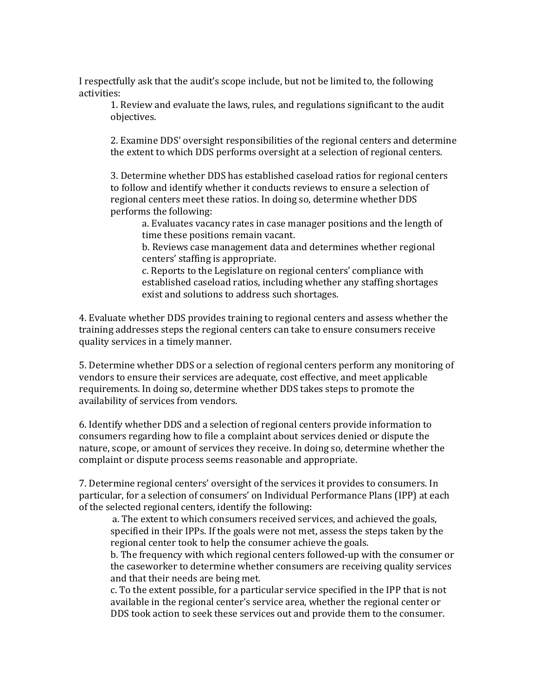I respectfully ask that the audit's scope include, but not be limited to, the following activities:

1. Review and evaluate the laws, rules, and regulations significant to the audit objectives.

2. Examine DDS' oversight responsibilities of the regional centers and determine the extent to which DDS performs oversight at a selection of regional centers.

3. Determine whether DDS has established caseload ratios for regional centers to follow and identify whether it conducts reviews to ensure a selection of regional centers meet these ratios. In doing so, determine whether DDS performs the following:

a. Evaluates vacancy rates in case manager positions and the length of time these positions remain vacant.

b. Reviews case management data and determines whether regional centers' staffing is appropriate.

c. Reports to the Legislature on regional centers' compliance with established caseload ratios, including whether any staffing shortages exist and solutions to address such shortages.

4. Evaluate whether DDS provides training to regional centers and assess whether the training addresses steps the regional centers can take to ensure consumers receive quality services in a timely manner.

5. Determine whether DDS or a selection of regional centers perform any monitoring of vendors to ensure their services are adequate, cost effective, and meet applicable requirements. In doing so, determine whether DDS takes steps to promote the availability of services from vendors.

6. Identify whether DDS and a selection of regional centers provide information to consumers regarding how to file a complaint about services denied or dispute the nature, scope, or amount of services they receive. In doing so, determine whether the complaint or dispute process seems reasonable and appropriate.

7. Determine regional centers' oversight of the services it provides to consumers. In particular, for a selection of consumers' on Individual Performance Plans (IPP) at each of the selected regional centers, identify the following:

a. The extent to which consumers received services, and achieved the goals, specified in their IPPs. If the goals were not met, assess the steps taken by the regional center took to help the consumer achieve the goals.

b. The frequency with which regional centers followed-up with the consumer or the caseworker to determine whether consumers are receiving quality services and that their needs are being met.

c. To the extent possible, for a particular service specified in the IPP that is not available in the regional center's service area, whether the regional center or DDS took action to seek these services out and provide them to the consumer.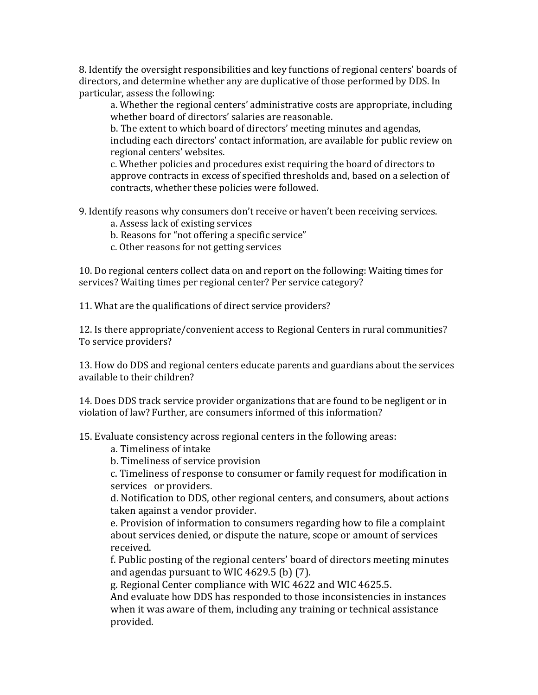8. Identify the oversight responsibilities and key functions of regional centers' boards of directors, and determine whether any are duplicative of those performed by DDS. In particular, assess the following:

a. Whether the regional centers' administrative costs are appropriate, including whether board of directors' salaries are reasonable.

b. The extent to which board of directors' meeting minutes and agendas, including each directors' contact information, are available for public review on regional centers' websites.

c. Whether policies and procedures exist requiring the board of directors to approve contracts in excess of specified thresholds and, based on a selection of contracts, whether these policies were followed.

9. Identify reasons why consumers don't receive or haven't been receiving services.

- a. Assess lack of existing services
- b. Reasons for "not offering a specific service"
- c. Other reasons for not getting services

10. Do regional centers collect data on and report on the following: Waiting times for services? Waiting times per regional center? Per service category?

11. What are the qualifications of direct service providers?

12. Is there appropriate/convenient access to Regional Centers in rural communities? To service providers?

13. How do DDS and regional centers educate parents and guardians about the services available to their children?

14. Does DDS track service provider organizations that are found to be negligent or in violation of law? Further, are consumers informed of this information?

15. Evaluate consistency across regional centers in the following areas:

a. Timeliness of intake

b. Timeliness of service provision

c. Timeliness of response to consumer or family request for modification in services or providers.

d. Notification to DDS, other regional centers, and consumers, about actions taken against a vendor provider.

e. Provision of information to consumers regarding how to file a complaint about services denied, or dispute the nature, scope or amount of services received.

f. Public posting of the regional centers' board of directors meeting minutes and agendas pursuant to WIC 4629.5 (b) (7).

g. Regional Center compliance with WIC 4622 and WIC 4625.5.

And evaluate how DDS has responded to those inconsistencies in instances when it was aware of them, including any training or technical assistance provided.